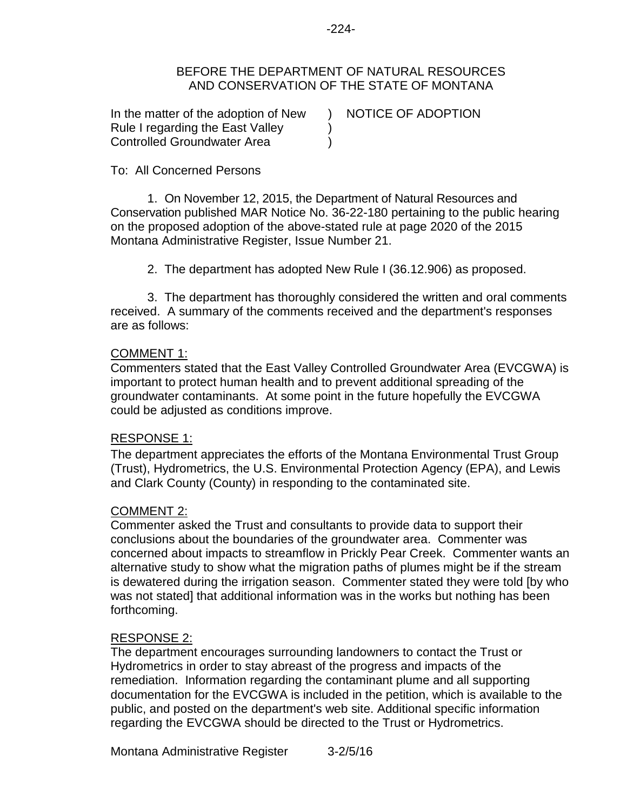### BEFORE THE DEPARTMENT OF NATURAL RESOURCES AND CONSERVATION OF THE STATE OF MONTANA

) ) )

In the matter of the adoption of New Rule I regarding the East Valley Controlled Groundwater Area

NOTICE OF ADOPTION

# To: All Concerned Persons

1. On November 12, 2015, the Department of Natural Resources and Conservation published MAR Notice No. 36-22-180 pertaining to the public hearing on the proposed adoption of the above-stated rule at page 2020 of the 2015 Montana Administrative Register, Issue Number 21.

2. The department has adopted New Rule I (36.12.906) as proposed.

3. The department has thoroughly considered the written and oral comments received. A summary of the comments received and the department's responses are as follows:

# COMMENT 1:

Commenters stated that the East Valley Controlled Groundwater Area (EVCGWA) is important to protect human health and to prevent additional spreading of the groundwater contaminants. At some point in the future hopefully the EVCGWA could be adjusted as conditions improve.

# RESPONSE 1:

The department appreciates the efforts of the Montana Environmental Trust Group (Trust), Hydrometrics, the U.S. Environmental Protection Agency (EPA), and Lewis and Clark County (County) in responding to the contaminated site.

# COMMENT 2:

Commenter asked the Trust and consultants to provide data to support their conclusions about the boundaries of the groundwater area. Commenter was concerned about impacts to streamflow in Prickly Pear Creek. Commenter wants an alternative study to show what the migration paths of plumes might be if the stream is dewatered during the irrigation season. Commenter stated they were told [by who was not stated] that additional information was in the works but nothing has been forthcoming.

# RESPONSE 2:

The department encourages surrounding landowners to contact the Trust or Hydrometrics in order to stay abreast of the progress and impacts of the remediation. Information regarding the contaminant plume and all supporting documentation for the EVCGWA is included in the petition, which is available to the public, and posted on the department's web site. Additional specific information regarding the EVCGWA should be directed to the Trust or Hydrometrics.

Montana Administrative Register 3-2/5/16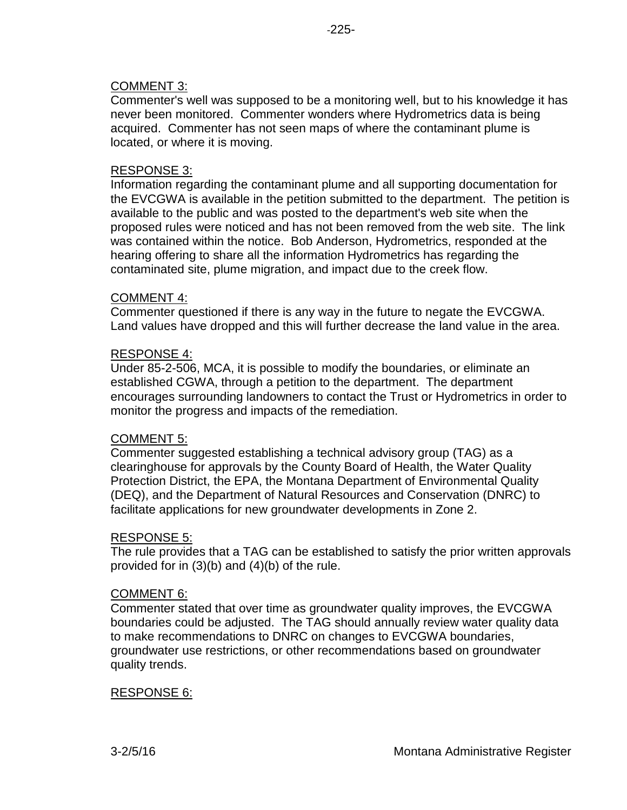# COMMENT 3:

Commenter's well was supposed to be a monitoring well, but to his knowledge it has never been monitored. Commenter wonders where Hydrometrics data is being acquired. Commenter has not seen maps of where the contaminant plume is located, or where it is moving.

# RESPONSE 3:

Information regarding the contaminant plume and all supporting documentation for the EVCGWA is available in the petition submitted to the department. The petition is available to the public and was posted to the department's web site when the proposed rules were noticed and has not been removed from the web site. The link was contained within the notice. Bob Anderson, Hydrometrics, responded at the hearing offering to share all the information Hydrometrics has regarding the contaminated site, plume migration, and impact due to the creek flow.

### COMMENT 4:

Commenter questioned if there is any way in the future to negate the EVCGWA. Land values have dropped and this will further decrease the land value in the area.

### RESPONSE 4:

Under 85-2-506, MCA, it is possible to modify the boundaries, or eliminate an established CGWA, through a petition to the department. The department encourages surrounding landowners to contact the Trust or Hydrometrics in order to monitor the progress and impacts of the remediation.

#### COMMENT 5:

Commenter suggested establishing a technical advisory group (TAG) as a clearinghouse for approvals by the County Board of Health, the Water Quality Protection District, the EPA, the Montana Department of Environmental Quality (DEQ), and the Department of Natural Resources and Conservation (DNRC) to facilitate applications for new groundwater developments in Zone 2.

#### RESPONSE 5:

The rule provides that a TAG can be established to satisfy the prior written approvals provided for in (3)(b) and (4)(b) of the rule.

#### COMMENT 6:

Commenter stated that over time as groundwater quality improves, the EVCGWA boundaries could be adjusted. The TAG should annually review water quality data to make recommendations to DNRC on changes to EVCGWA boundaries, groundwater use restrictions, or other recommendations based on groundwater quality trends.

#### RESPONSE 6: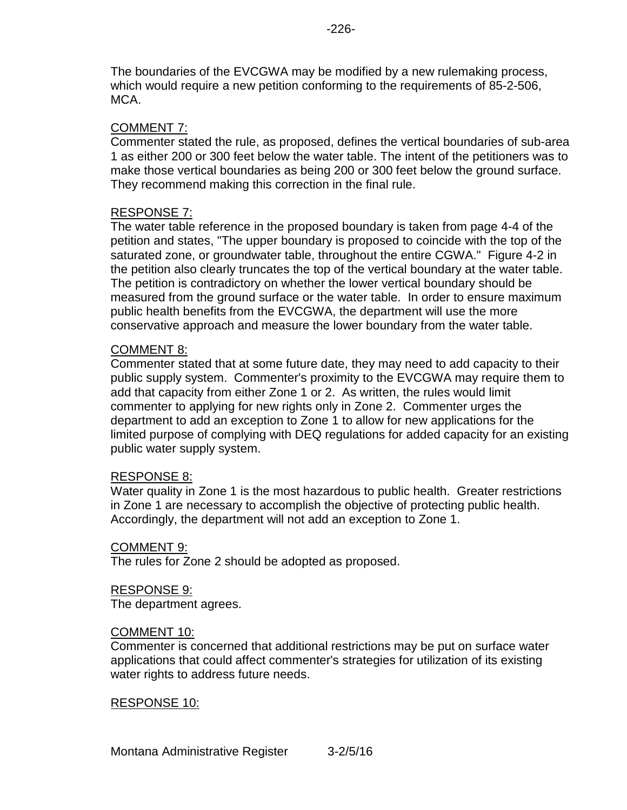The boundaries of the EVCGWA may be modified by a new rulemaking process, which would require a new petition conforming to the requirements of 85-2-506, MCA.

### COMMENT 7:

Commenter stated the rule, as proposed, defines the vertical boundaries of sub-area 1 as either 200 or 300 feet below the water table. The intent of the petitioners was to make those vertical boundaries as being 200 or 300 feet below the ground surface. They recommend making this correction in the final rule.

### RESPONSE 7:

The water table reference in the proposed boundary is taken from page 4-4 of the petition and states, "The upper boundary is proposed to coincide with the top of the saturated zone, or groundwater table, throughout the entire CGWA." Figure 4-2 in the petition also clearly truncates the top of the vertical boundary at the water table. The petition is contradictory on whether the lower vertical boundary should be measured from the ground surface or the water table. In order to ensure maximum public health benefits from the EVCGWA, the department will use the more conservative approach and measure the lower boundary from the water table.

### COMMENT 8:

Commenter stated that at some future date, they may need to add capacity to their public supply system. Commenter's proximity to the EVCGWA may require them to add that capacity from either Zone 1 or 2. As written, the rules would limit commenter to applying for new rights only in Zone 2. Commenter urges the department to add an exception to Zone 1 to allow for new applications for the limited purpose of complying with DEQ regulations for added capacity for an existing public water supply system.

# RESPONSE 8:

Water quality in Zone 1 is the most hazardous to public health. Greater restrictions in Zone 1 are necessary to accomplish the objective of protecting public health. Accordingly, the department will not add an exception to Zone 1.

#### COMMENT 9:

The rules for Zone 2 should be adopted as proposed.

#### RESPONSE 9:

The department agrees.

#### COMMENT 10:

Commenter is concerned that additional restrictions may be put on surface water applications that could affect commenter's strategies for utilization of its existing water rights to address future needs.

#### RESPONSE 10: